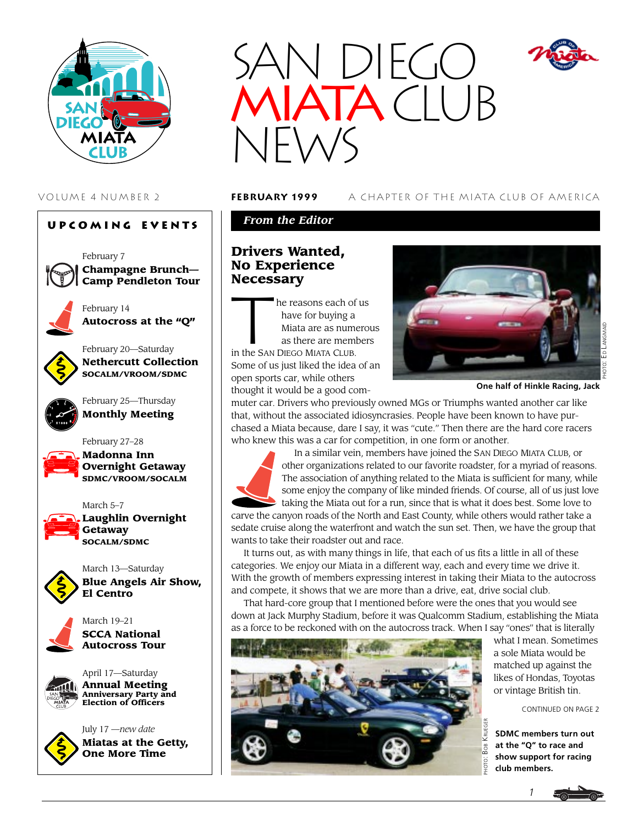

### **Upcoming Events**





February 14 **Autocross at the "Q"**



February 20—Saturday **Nethercutt Collection SOCALM/VROOM/SDMC**



February 27–28



March 5–7

**Madonna Inn Overnight Getaway SDMC/VROOM/SOCALM**



**Laughlin Overnight Getaway SOCALM/SDMC**



March 13—Saturday **Blue Angels Air Show, El Centro**



March 19–21 **SCCA National Autocross Tour**



July 17 —*new date* **Miatas at the Getty, One More Time**



VOLUME 4 NUMBER 2 **february 1999** A CHAPTER OF THE MIATA CLUB OF AMERICA

## *From the Editor*

# **Drivers Wanted, No Experience**

**Necessary**<br>
he rea<br>
have<br>
Miata<br>
as the he reasons each of us have for buying a Miata are as numerous as there are members

in the SAN DIEGO MIATA CLUB. Some of us just liked the idea of an open sports car, while others thought it would be a good com-



**One half of Hinkle Racing, Jack**

muter car. Drivers who previously owned MGs or Triumphs wanted another car like that, without the associated idiosyncrasies. People have been known to have purchased a Miata because, dare I say, it was "cute." Then there are the hard core racers who knew this was a car for competition, in one form or another.



wants to take their roadster out and race. It turns out, as with many things in life, that each of us fits a little in all of these categories. We enjoy our Miata in a different way, each and every time we drive it. With the growth of members expressing interest in taking their Miata to the autocross and compete, it shows that we are more than a drive, eat, drive social club.

That hard-core group that I mentioned before were the ones that you would see down at Jack Murphy Stadium, before it was Qualcomm Stadium, establishing the Miata as a force to be reckoned with on the autocross track. When I say "ones" that is literally



what I mean. Sometimes a sole Miata would be matched up against the likes of Hondas, Toyotas or vintage British tin.

CONTINUED ON PAGE 2

**SDMC members turn out at the "Q" to race and show support for racing club members.**

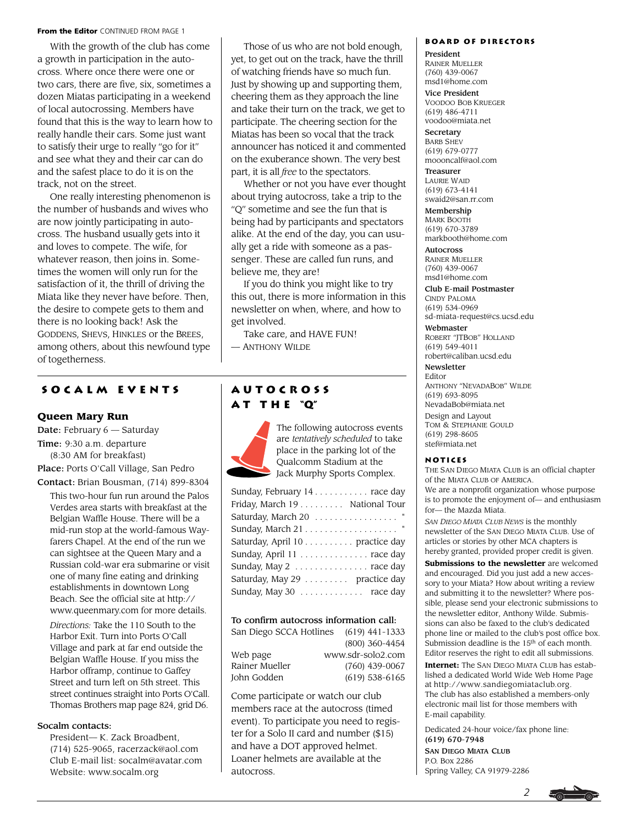#### From the Editor CONTINUED FROM PAGE 1

With the growth of the club has come a growth in participation in the autocross. Where once there were one or two cars, there are five, six, sometimes a dozen Miatas participating in a weekend of local autocrossing. Members have found that this is the way to learn how to really handle their cars. Some just want to satisfy their urge to really "go for it" and see what they and their car can do and the safest place to do it is on the track, not on the street.

One really interesting phenomenon is the number of husbands and wives who are now jointly participating in autocross. The husband usually gets into it and loves to compete. The wife, for whatever reason, then joins in. Sometimes the women will only run for the satisfaction of it, the thrill of driving the Miata like they never have before. Then, the desire to compete gets to them and there is no looking back! Ask the GODDENS, SHEVS, HINKLES or the BREES, among others, about this newfound type of togetherness.

Those of us who are not bold enough, yet, to get out on the track, have the thrill of watching friends have so much fun. Just by showing up and supporting them, cheering them as they approach the line and take their turn on the track, we get to participate. The cheering section for the Miatas has been so vocal that the track announcer has noticed it and commented on the exuberance shown. The very best part, it is all *free* to the spectators.

Whether or not you have ever thought about trying autocross, take a trip to the "Q" sometime and see the fun that is being had by participants and spectators alike. At the end of the day, you can usually get a ride with someone as a passenger. These are called fun runs, and believe me, they are!

If you do think you might like to try this out, there is more information in this newsletter on when, where, and how to get involved.

Take care, and HAVE FUN!

— ANTHONY WILDE

### **Socalm events Autocross**

#### **Queen Mary Run**

Date: February 6 — Saturday Time: 9:30 a.m. departure (8:30 AM for breakfast) Place: Ports O'Call Village, San Pedro

Contact: Brian Bousman, (714) 899-8304

This two-hour fun run around the Palos Verdes area starts with breakfast at the Belgian Waffle House. There will be a mid-run stop at the world-famous Wayfarers Chapel. At the end of the run we can sightsee at the Queen Mary and a Russian cold-war era submarine or visit one of many fine eating and drinking establishments in downtown Long Beach. See the official site at http:// www.queenmary.com for more details.

*Directions:* Take the 110 South to the Harbor Exit. Turn into Ports O'Call Village and park at far end outside the Belgian Waffle House. If you miss the Harbor offramp, continue to Gaffey Street and turn left on 5th street. This street continues straight into Ports O'Call. Thomas Brothers map page 824, grid D6.

#### Socalm contacts:

President— K. Zack Broadbent, (714) 525-9065, racerzack@aol.com Club E-mail list: socalm@avatar.com Website: www.socalm.org

# **a t t h e "Q"**



The following autocross events are *tentatively scheduled* to take place in the parking lot of the Qualcomm Stadium at the Jack Murphy Sports Complex.

| Sunday, February 14 race day    |
|---------------------------------|
| Friday, March 19 National Tour  |
| " Saturday, March 20 "          |
|                                 |
| Saturday, April 10 practice day |
| Sunday, April 11 race day       |
| Sunday, May 2  race day         |
| Saturday, May 29 practice day   |
| Sunday, May 30  race day        |
|                                 |

#### To confirm autocross information call:

| San Diego SCCA Hotlines | $(619)$ 441-1333  |
|-------------------------|-------------------|
|                         | (800) 360-4454    |
| Web page                | www.sdr-solo2.com |
| Rainer Mueller          | (760) 439-0067    |
| John Godden             | $(619)$ 538-6165  |

Come participate or watch our club members race at the autocross (timed event). To participate you need to register for a Solo II card and number (\$15) and have a DOT approved helmet. Loaner helmets are available at the autocross.

#### **Board of Directors**

President RAINER MUELLER (760) 439-0067 msd1@home.com

Vice President VOODOO BOB KRUEGER (619) 486-4711 voodoo@miata.net

**Secretary** BARB SHEV (619) 679-0777 moooncalf@aol.com

Treasurer LAURIE WAID (619) 673-4141 swaid2@san.rr.com

Membership MARK BOOTH (619) 670-3789 markbooth@home.com

**Autocross** RAINER MUELLER (760) 439-0067 msd1@home.com

Club E-mail Postmaster

CINDY PALOMA (619) 534-0969 sd-miata-request@cs.ucsd.edu Webmaster

ROBERT "JTBOB" HOLLAND (619) 549-4011 robert@caliban.ucsd.edu

Newsletter

Editor ANTHONY "NEVADABOB" WILDE (619) 693-8095 NevadaBob@miata.net Design and Layout TOM & STEPHANIE GOULD (619) 298-8605 stef@miata.net

#### **Notices**

THE SAN DIEGO MIATA CLUB is an official chapter of the MIATA CLUB OF AMERICA. We are a nonprofit organization whose purpose is to promote the enjoyment of— and enthusiasm for— the Mazda Miata.

*SAN DIEGO MIATA CLUB NEWS* is the monthly newsletter of the SAN DIEGO MIATA CLUB. Use of articles or stories by other MCA chapters is hereby granted, provided proper credit is given.

**Submissions to the newsletter** are welcomed and encouraged. Did you just add a new accessory to your Miata? How about writing a review and submitting it to the newsletter? Where possible, please send your electronic submissions to the newsletter editor, Anthony Wilde. Submissions can also be faxed to the club's dedicated phone line or mailed to the club's post office box. Submission deadline is the 15<sup>th</sup> of each month. Editor reserves the right to edit all submissions.

**Internet:** The SAN DIEGO MIATA CLUB has established a dedicated World Wide Web Home Page at http://www.sandiegomiataclub.org. The club has also established a members-only electronic mail list for those members with E-mail capability.

Dedicated 24-hour voice/fax phone line: (619) 670-7948

SAN DIEGO MIATA CLUB P.O. Box 2286 Spring Valley, CA 91979-2286

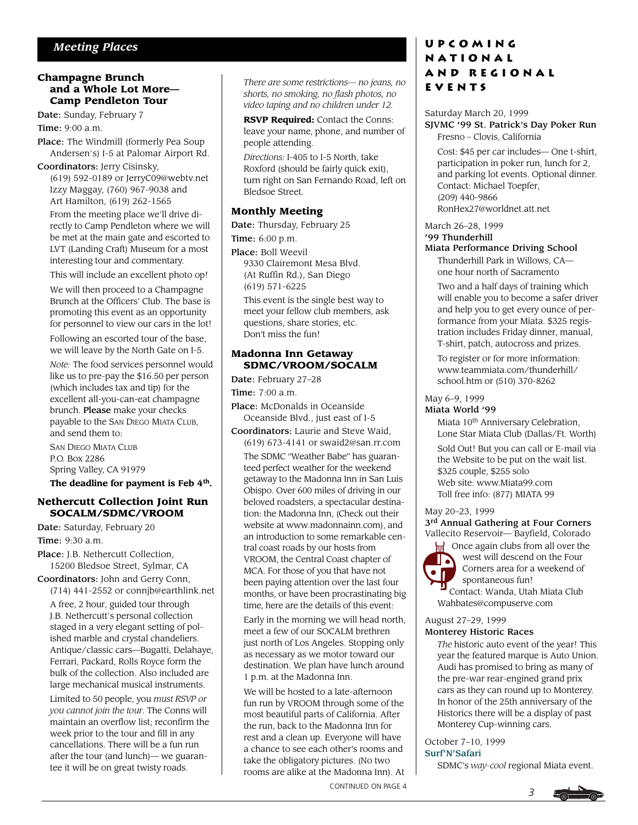#### **Champagne Brunch and a Whole Lot More— Camp Pendleton Tour**

Date: Sunday, February 7 Time: 9:00 a.m.

Place: The Windmill (formerly Pea Soup Andersen's) I-5 at Palomar Airport Rd.

Coordinators: Jerry Cisinsky, (619) 592-0189 or JerryC09@webtv.net Izzy Maggay, (760) 967-9038 and Art Hamilton, (619) 262-1565

From the meeting place we'll drive directly to Camp Pendleton where we will be met at the main gate and escorted to LVT (Landing Craft) Museum for a most interesting tour and commentary.

This will include an excellent photo op!

We will then proceed to a Champagne Brunch at the Officers' Club. The base is promoting this event as an opportunity for personnel to view our cars in the lot!

Following an escorted tour of the base, we will leave by the North Gate on I-5.

*Note:* The food services personnel would like us to pre-pay the \$16.50 per person (which includes tax and tip) for the excellent all-you-can-eat champagne brunch. Please make your checks payable to the SAN DIEGO MIATA CLUB, and send them to:

SAN DIEGO MIATA CLUB P.O. Box 2286 Spring Valley, CA 91979

**The deadline for payment is Feb 4th.**

#### **Nethercutt Collection Joint Run SOCALM/SDMC/VROOM**

Date: Saturday, February 20 Time: 9:30 a.m.

Place: J.B. Nethercutt Collection, 15200 Bledsoe Street, Sylmar, CA

Coordinators: John and Gerry Conn, (714) 441-2552 or connjb@earthlink.net A free, 2 hour, guided tour through J.B. Nethercutt's personal collection staged in a very elegant setting of polished marble and crystal chandeliers. Antique/classic cars—Bugatti, Delahaye, Ferrari, Packard, Rolls Royce form the bulk of the collection. Also included are large mechanical musical instruments.

Limited to 50 people, you *must RSVP or you cannot join the tour*. The Conns will maintain an overflow list; reconfirm the week prior to the tour and fill in any cancellations. There will be a fun run after the tour (and lunch)— we guarantee it will be on great twisty roads.

*There are some restrictions— no jeans, no shorts, no smoking, no flash photos, no video taping and no children under 12.*

**RSVP Required:** Contact the Conns: leave your name, phone, and number of people attending.

*Directions:* I-405 to I-5 North, take Roxford (should be fairly quick exit), turn right on San Fernando Road, left on Bledsoe Street.

### **Monthly Meeting**

Date: Thursday, February 25 Time: 6:00 p.m.

Place: Boll Weevil 9330 Clairemont Mesa Blvd. (At Ruffin Rd.), San Diego (619) 571-6225

This event is the single best way to meet your fellow club members, ask questions, share stories, etc. Don't miss the fun!

#### **Madonna Inn Getaway SDMC/VROOM/SOCALM**

Date: February 27–28

Time: 7:00 a.m.

- Place: McDonalds in Oceanside Oceanside Blvd., just east of I-5
- Coordinators: Laurie and Steve Waid, (619) 673-4141 or swaid2@san.rr.com The SDMC "Weather Babe" has guaranteed perfect weather for the weekend getaway to the Madonna Inn in San Luis Obispo. Over 600 miles of driving in our beloved roadsters, a spectacular destination: the Madonna Inn, (Check out their website at www.madonnainn.com), and an introduction to some remarkable central coast roads by our hosts from VROOM, the Central Coast chapter of MCA. For those of you that have not been paying attention over the last four months, or have been procrastinating big time, here are the details of this event:

Early in the morning we will head north, meet a few of our SOCALM brethren just north of Los Angeles. Stopping only as necessary as we motor toward our destination. We plan have lunch around 1 p.m. at the Madonna Inn.

We will be hosted to a late-afternoon fun run by VROOM through some of the most beautiful parts of California. After the run, back to the Madonna Inn for rest and a clean up. Everyone will have a chance to see each other's rooms and take the obligatory pictures. (No two rooms are alike at the Madonna Inn). At

*<sup>3</sup>* CONTINUED ON PAGE 4

## **Upcoming National and Regional Events**

#### Saturday March 20, 1999 SJVMC '99 St. Patrick's Day Poker Run Fresno – Clovis, California

Cost: \$45 per car includes— One t-shirt, participation in poker run, lunch for 2, and parking lot events. Optional dinner. Contact: Michael Toepfer, (209) 440-9866 RonHex27@worldnet.att.net

March 26–28, 1999

### '99 Thunderhill

#### Miata Performance Driving School

Thunderhill Park in Willows, CA one hour north of Sacramento

Two and a half days of training which will enable you to become a safer driver and help you to get every ounce of performance from your Miata. \$325 registration includes Friday dinner, manual, T-shirt, patch, autocross and prizes.

To register or for more information: www.teammiata.com/thunderhill/ school.htm or (510) 370-8262

### May 6–9, 1999

#### Miata World '99

Miata 10<sup>th</sup> Anniversary Celebration, Lone Star Miata Club (Dallas/Ft. Worth)

Sold Out! But you can call or E-mail via the Website to be put on the wait list. \$325 couple, \$255 solo Web site: www.Miata99.com Toll free info: (877) MIATA 99

#### May 20–23, 1999

3<sup>rd</sup> Annual Gathering at Four Corners Vallecito Reservoir— Bayfield, Colorado

**Solutify** Once again clubs from all over the west will descend on the Four Corners area for a weekend of spontaneous fun! Contact: Wanda, Utah Miata Club Wahbates@compuserve.com **DECK**<br>Of Co

## August 27–29, 1999

#### Monterey Historic Races

*The* historic auto event of the year! This year the featured marque is Auto Union. Audi has promised to bring as many of the pre-war rear-engined grand prix cars as they can round up to Monterey. In honor of the 25th anniversary of the Historics there will be a display of past Monterey Cup-winning cars.

October 7–10, 1999

#### Surf'N'Safari

SDMC's *way-cool* regional Miata event.

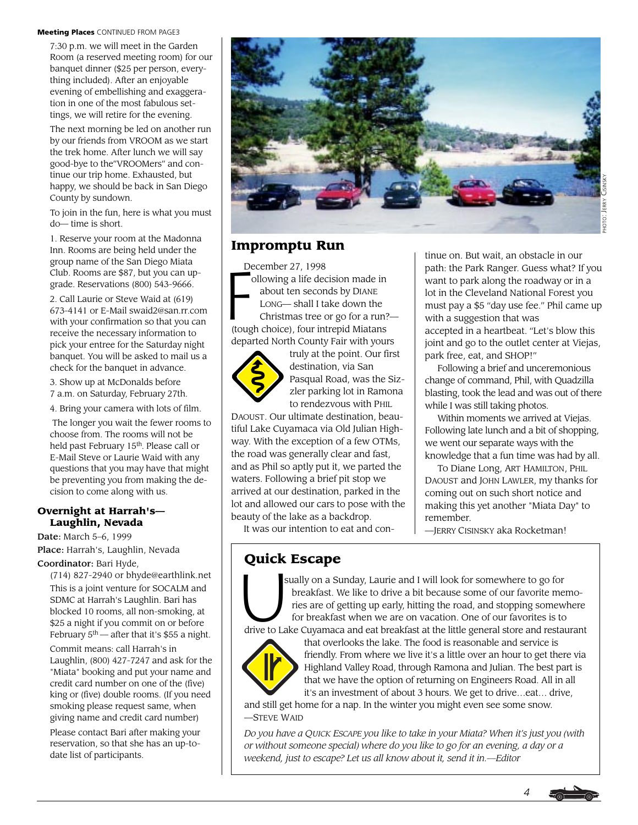#### Meeting Places CONTINUED FROM PAGE3

7:30 p.m. we will meet in the Garden Room (a reserved meeting room) for our banquet dinner (\$25 per person, everything included). After an enjoyable evening of embellishing and exaggeration in one of the most fabulous settings, we will retire for the evening.

The next morning be led on another run by our friends from VROOM as we start the trek home. After lunch we will say good-bye to the"VROOMers" and continue our trip home. Exhausted, but happy, we should be back in San Diego County by sundown.

To join in the fun, here is what you must do— time is short.

1. Reserve your room at the Madonna Inn. Rooms are being held under the group name of the San Diego Miata Club. Rooms are \$87, but you can upgrade. Reservations (800) 543-9666.

2. Call Laurie or Steve Waid at (619) 673-4141 or E-Mail swaid2@san.rr.com with your confirmation so that you can receive the necessary information to pick your entree for the Saturday night banquet. You will be asked to mail us a check for the banquet in advance.

3. Show up at McDonalds before 7 a.m. on Saturday, February 27th.

4. Bring your camera with lots of film.

 The longer you wait the fewer rooms to choose from. The rooms will not be held past February 15th. Please call or E-Mail Steve or Laurie Waid with any questions that you may have that might be preventing you from making the decision to come along with us.

#### **Overnight at Harrah's— Laughlin, Nevada**

Date: March 5–6, 1999 Place: Harrah's, Laughlin, Nevada Coordinator: Bari Hyde,

(714) 827-2940 or bhyde@earthlink.net This is a joint venture for SOCALM and SDMC at Harrah's Laughlin. Bari has blocked 10 rooms, all non-smoking, at \$25 a night if you commit on or before February  $5<sup>th</sup>$  — after that it's \$55 a night.

Commit means: call Harrah's in Laughlin, (800) 427-7247 and ask for the "Miata" booking and put your name and credit card number on one of the (five) king or (five) double rooms. (If you need smoking please request same, when giving name and credit card number)

Please contact Bari after making your reservation, so that she has an up-todate list of participants.



## **Impromptu Run**

 $\begin{array}{c}\n\text{De} \\
\hline\n\text{C}\n\end{array}$ December 27, 1998 ollowing a life decision made in about ten seconds by DIANE LONG— shall I take down the Christmas tree or go for a run?— (tough choice), four intrepid Miatans departed North County Fair with yours



truly at the point. Our first destination, via San Pasqual Road, was the Sizzler parking lot in Ramona to rendezvous with PHIL

DAOUST. Our ultimate destination, beautiful Lake Cuyamaca via Old Julian Highway. With the exception of a few OTMs, the road was generally clear and fast, and as Phil so aptly put it, we parted the waters. Following a brief pit stop we arrived at our destination, parked in the lot and allowed our cars to pose with the beauty of the lake as a backdrop.

It was our intention to eat and con-

tinue on. But wait, an obstacle in our path: the Park Ranger. Guess what? If you want to park along the roadway or in a lot in the Cleveland National Forest you must pay a \$5 "day use fee." Phil came up with a suggestion that was accepted in a heartbeat. "Let's blow this joint and go to the outlet center at Viejas, park free, eat, and SHOP!"

Following a brief and unceremonious change of command, Phil, with Quadzilla blasting, took the lead and was out of there while I was still taking photos.

Within moments we arrived at Viejas. Following late lunch and a bit of shopping, we went our separate ways with the knowledge that a fun time was had by all.

To Diane Long, ART HAMILTON, PHIL DAOUST and JOHN LAWLER, my thanks for coming out on such short notice and making this yet another "Miata Day" to remember.

*4*

—JERRY CISINSKY aka Rocketman!

**Quick Escape**<br>
sually on a Sun<br>
breakfast. V<br>
ries are of g<br>
for breakfas sually on a Sunday, Laurie and I will look for somewhere to go for breakfast. We like to drive a bit because some of our favorite memo ries are of getting up early, hitting the road, and stopping somewhere for breakfast when we are on vacation. One of our favorites is to drive to Lake Cuyamaca and eat breakfast at the little general store and restaurant



that overlooks the lake. The food is reasonable and service is friendly. From where we live it's a little over an hour to get there via Highland Valley Road, through Ramona and Julian. The best part is that we have the option of returning on Engineers Road. All in all it's an investment of about 3 hours. We get to drive…eat… drive,

and still get home for a nap. In the winter you might even see some snow. —STEVE WAID

*Do you have a QUICK ESCAPE you like to take in your Miata? When it's just you (with or without someone special) where do you like to go for an evening, a day or a weekend, just to escape? Let us all know about it, send it in.—Editor*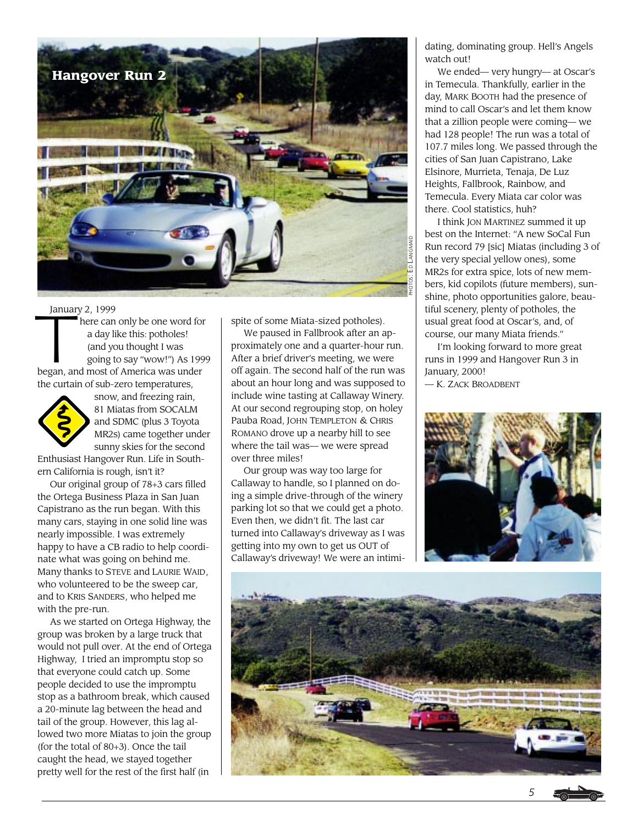

January 2, 1999

Januar<br>**Tana**  here can only be one word for a day like this: potholes! (and you thought I was going to say "wow!") As 1999 began, and most of America was under the curtain of sub-zero temperatures,



snow, and freezing rain, 81 Miatas from SOCALM and SDMC (plus 3 Toyota MR2s) came together under sunny skies for the second

Enthusiast Hangover Run. Life in Southern California is rough, isn't it?

Our original group of 78+3 cars filled the Ortega Business Plaza in San Juan Capistrano as the run began. With this many cars, staying in one solid line was nearly impossible. I was extremely happy to have a CB radio to help coordinate what was going on behind me. Many thanks to STEVE and LAURIE WAID, who volunteered to be the sweep car, and to KRIS SANDERS, who helped me with the pre-run.

As we started on Ortega Highway, the group was broken by a large truck that would not pull over. At the end of Ortega Highway, I tried an impromptu stop so that everyone could catch up. Some people decided to use the impromptu stop as a bathroom break, which caused a 20-minute lag between the head and tail of the group. However, this lag allowed two more Miatas to join the group (for the total of 80+3). Once the tail caught the head, we stayed together pretty well for the rest of the first half (in

spite of some Miata-sized potholes).

We paused in Fallbrook after an approximately one and a quarter-hour run. After a brief driver's meeting, we were off again. The second half of the run was about an hour long and was supposed to include wine tasting at Callaway Winery. At our second regrouping stop, on holey Pauba Road, JOHN TEMPLETON & CHRIS ROMANO drove up a nearby hill to see where the tail was— we were spread over three miles!

Our group was way too large for Callaway to handle, so I planned on doing a simple drive-through of the winery parking lot so that we could get a photo. Even then, we didn't fit. The last car turned into Callaway's driveway as I was getting into my own to get us OUT of Callaway's driveway! We were an intimidating, dominating group. Hell's Angels watch out!

We ended— very hungry— at Oscar's in Temecula. Thankfully, earlier in the day, MARK BOOTH had the presence of mind to call Oscar's and let them know that a zillion people were coming— we had 128 people! The run was a total of 107.7 miles long. We passed through the cities of San Juan Capistrano, Lake Elsinore, Murrieta, Tenaja, De Luz Heights, Fallbrook, Rainbow, and Temecula. Every Miata car color was there. Cool statistics, huh?

I think JON MARTINEZ summed it up best on the Internet: "A new SoCal Fun Run record 79 [sic] Miatas (including 3 of the very special yellow ones), some MR2s for extra spice, lots of new members, kid copilots (future members), sunshine, photo opportunities galore, beautiful scenery, plenty of potholes, the usual great food at Oscar's, and, of course, our many Miata friends."

I'm looking forward to more great runs in 1999 and Hangover Run 3 in January, 2000!

— K. ZACK BROADBENT



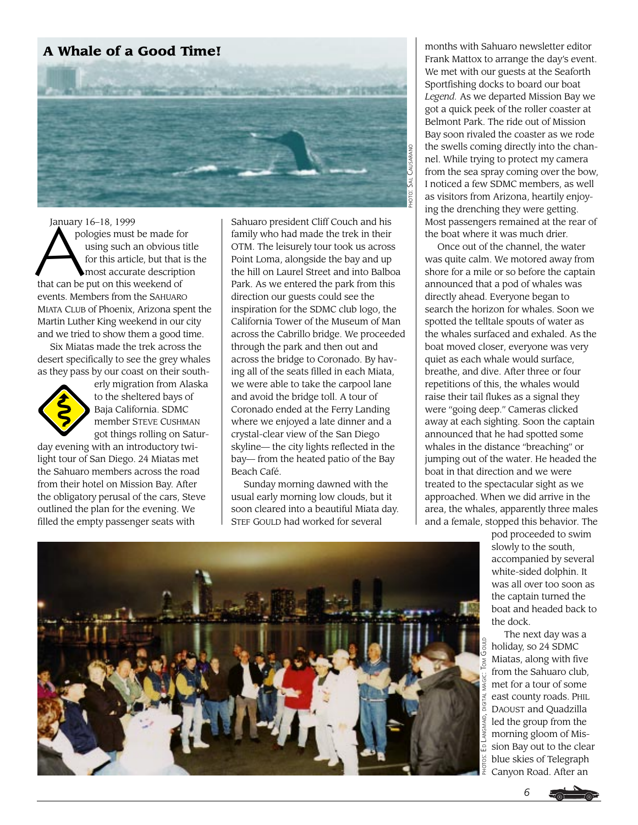## **A Whale of a Good Time!**



January<br>**A**po January 16–18, 1999 pologies must be made for using such an obvious title for this article, but that is the most accurate description that can be put on this weekend of events. Members from the SAHUARO MIATA CLUB of Phoenix, Arizona spent the Martin Luther King weekend in our city and we tried to show them a good time.

Six Miatas made the trek across the desert specifically to see the grey whales as they pass by our coast on their south-



erly migration from Alaska to the sheltered bays of Baja California. SDMC member STEVE CUSHMAN got things rolling on Satur-

day evening with an introductory twilight tour of San Diego. 24 Miatas met the Sahuaro members across the road from their hotel on Mission Bay. After the obligatory perusal of the cars, Steve outlined the plan for the evening. We filled the empty passenger seats with

Sahuaro president Cliff Couch and his family who had made the trek in their OTM. The leisurely tour took us across Point Loma, alongside the bay and up the hill on Laurel Street and into Balboa Park. As we entered the park from this direction our guests could see the inspiration for the SDMC club logo, the California Tower of the Museum of Man across the Cabrillo bridge. We proceeded through the park and then out and across the bridge to Coronado. By having all of the seats filled in each Miata, we were able to take the carpool lane and avoid the bridge toll. A tour of Coronado ended at the Ferry Landing where we enjoyed a late dinner and a crystal-clear view of the San Diego skyline— the city lights reflected in the bay— from the heated patio of the Bay Beach Café.

Sunday morning dawned with the usual early morning low clouds, but it soon cleared into a beautiful Miata day. STEF GOULD had worked for several

months with Sahuaro newsletter editor Frank Mattox to arrange the day's event. We met with our guests at the Seaforth Sportfishing docks to board our boat *Legend.* As we departed Mission Bay we got a quick peek of the roller coaster at Belmont Park. The ride out of Mission Bay soon rivaled the coaster as we rode the swells coming directly into the channel. While trying to protect my camera from the sea spray coming over the bow, I noticed a few SDMC members, as well as visitors from Arizona, heartily enjoying the drenching they were getting. Most passengers remained at the rear of the boat where it was much drier.

Once out of the channel, the water was quite calm. We motored away from shore for a mile or so before the captain announced that a pod of whales was directly ahead. Everyone began to search the horizon for whales. Soon we spotted the telltale spouts of water as the whales surfaced and exhaled. As the boat moved closer, everyone was very quiet as each whale would surface, breathe, and dive. After three or four repetitions of this, the whales would raise their tail flukes as a signal they were "going deep." Cameras clicked away at each sighting. Soon the captain announced that he had spotted some whales in the distance "breaching" or jumping out of the water. He headed the boat in that direction and we were treated to the spectacular sight as we approached. When we did arrive in the area, the whales, apparently three males and a female, stopped this behavior. The

> pod proceeded to swim slowly to the south, accompanied by several white-sided dolphin. It was all over too soon as the captain turned the boat and headed back to the dock.

The next day was a holiday, so 24 SDMC Miatas, along with five from the Sahuaro club, met for a tour of some east county roads. PHIL DAOUST and Quadzilla led the group from the morning gloom of Mission Bay out to the clear blue skies of Telegraph Canyon Road. After an



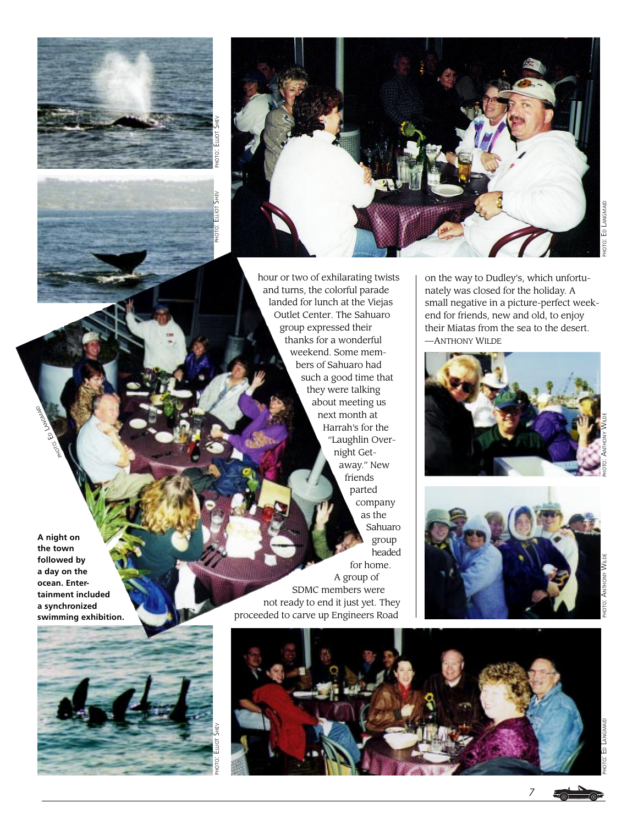



hour or two of exhilarating twists and turns, the colorful parade landed for lunch at the Viejas Outlet Center. The Sahuaro group expressed their thanks for a wonderful weekend. Some members of Sahuaro had such a good time that they were talking about meeting us next month at Harrah's for the "Laughlin Overnight Getaway." New friends parted company as the Sahuaro group headed for home. A group of SDMC members were not ready to end it just yet. They proceeded to carve up Engineers Road

on the way to Dudley's, which unfortunately was closed for the holiday. A small negative in a picture-perfect weekend for friends, new and old, to enjoy their Miatas from the sea to the desert. —ANTHONY WILDE





PHOTO: ED LANGMAID

OIANGMAID



PHOTO: ED LANGMAID

**A night on**



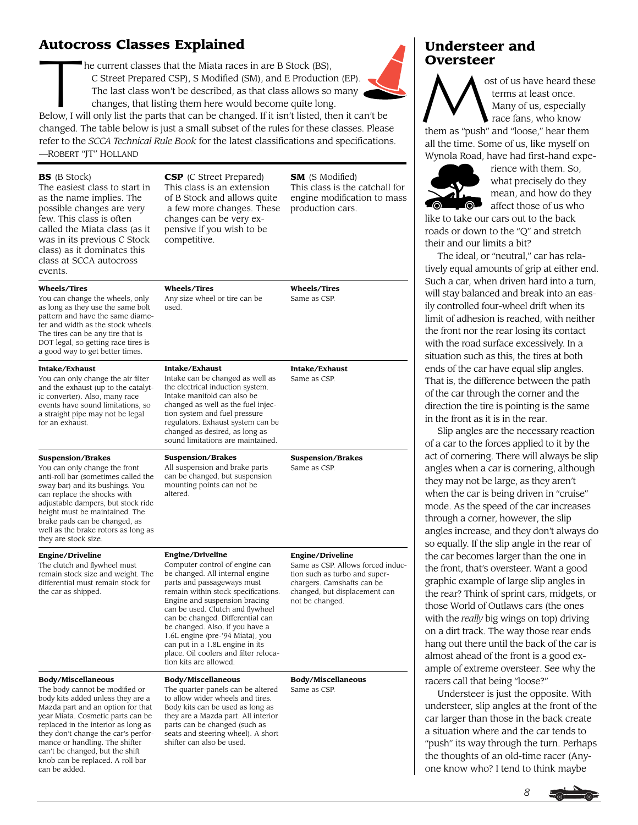**Autocross Classes Explained**<br>
he current classes that the Miata race:<br>
C Street Prepared CSP), S Modified (<br>
The last class won't be described, as<br>
changes, that listing them here wou he current classes that the Miata races in are B Stock (BS), C Street Prepared CSP), S Modified (SM), and E Production (EP). The last class won't be described, as that class allows so many changes, that listing them here would become quite long. Below, I will only list the parts that can be changed. If it isn't listed, then it can't be

changed. The table below is just a small subset of the rules for these classes. Please refer to the *SCCA Technical Rule Book* for the latest classifications and specifications. —ROBERT "JT" HOLLAND

#### **BS** (B Stock) The easiest class to start in as the name implies. The possible changes are very few. This class is often called the Miata class (as it was in its previous C Stock class) as it dominates this class at SCCA autocross events. **Wheels/Tires**  You can change the wheels, only as long as they use the same bolt pattern and have the same diameter and width as the stock wheels. The tires can be any tire that is DOT legal, so getting race tires is a good way to get better times. **Intake/Exhaust** You can only change the air filter and the exhaust (up to the catalytic converter). Also, many race events have sound limitations, so a straight pipe may not be legal for an exhaust. **Suspension/Brakes** You can only change the front anti-roll bar (sometimes called the sway bar) and its bushings. You can replace the shocks with adjustable dampers, but stock ride height must be maintained. The brake pads can be changed, as well as the brake rotors as long as they are stock size. The clutch and flywheel must remain stock size and weight. The differential must remain stock for the car as shipped. The body cannot be modified or body kits added unless they are a Mazda part and an option for that year Miata. Cosmetic parts can be replaced in the interior as long as they don't change the car's perfor-**CSP** (C Street Prepared) This class is an extension of B Stock and allows quite a few more changes. These changes can be very expensive if you wish to be competitive. **Wheels/Tires**  Any size wheel or tire can be used. **Intake/Exhaust** Intake can be changed as well as the electrical induction system. Intake manifold can also be changed as well as the fuel injection system and fuel pressure regulators. Exhaust system can be changed as desired, as long as sound limitations are maintained. **Suspension/Brakes** All suspension and brake parts can be changed, but suspension mounting points can not be altered. **Engine/Driveline** Computer control of engine can be changed. All internal engine parts and passageways must remain within stock specifications. Engine and suspension bracing can be used. Clutch and flywheel can be changed. Differential can be changed. Also, if you have a 1.6L engine (pre-'94 Miata), you can put in a 1.8L engine in its place. Oil coolers and filter relocation kits are allowed. **Body/Miscellaneous** The quarter-panels can be altered to allow wider wheels and tires. Body kits can be used as long as they are a Mazda part. All interior parts can be changed (such as **SM** (S Modified) This class is the catchall for engine modification to mass production cars. **Wheels/Tires**  Same as CSP. **Intake/Exhaust** Same as CSP. **Suspension/Brakes** Same as CSP. **Engine/Driveline** Same as CSP. Allows forced induction such as turbo and superchargers. Camshafts can be changed, but displacement can not be changed. **Body/Miscellaneous** Same as CSP.

# **Understeer and**

**Oversteer**<br>  $\bigwedge$ ost of us have heard these terms at least once. Many of us, especially race fans, who know

them as "push" and "loose," hear them all the time. Some of us, like myself on Wynola Road, have had first-hand expe-



rience with them. So, what precisely do they mean, and how do they affect those of us who

like to take our cars out to the back roads or down to the "Q" and stretch their and our limits a bit?

The ideal, or "neutral," car has relatively equal amounts of grip at either end. Such a car, when driven hard into a turn, will stay balanced and break into an easily controlled four-wheel drift when its limit of adhesion is reached, with neither the front nor the rear losing its contact with the road surface excessively. In a situation such as this, the tires at both ends of the car have equal slip angles. That is, the difference between the path of the car through the corner and the direction the tire is pointing is the same in the front as it is in the rear.

Slip angles are the necessary reaction of a car to the forces applied to it by the act of cornering. There will always be slip angles when a car is cornering, although they may not be large, as they aren't when the car is being driven in "cruise" mode. As the speed of the car increases through a corner, however, the slip angles increase, and they don't always do so equally. If the slip angle in the rear of the car becomes larger than the one in the front, that's oversteer. Want a good graphic example of large slip angles in the rear? Think of sprint cars, midgets, or those World of Outlaws cars (the ones with the *really* big wings on top) driving on a dirt track. The way those rear ends hang out there until the back of the car is almost ahead of the front is a good example of extreme oversteer. See why the racers call that being "loose?"

Understeer is just the opposite. With understeer, slip angles at the front of the car larger than those in the back create a situation where and the car tends to "push" its way through the turn. Perhaps the thoughts of an old-time racer (Anyone know who? I tend to think maybe

*8*

seats and steering wheel). A short shifter can also be used.

#### **Engine/Driveline**

**Body/Miscellaneous**

mance or handling. The shifter can't be changed, but the shift knob can be replaced. A roll bar

can be added.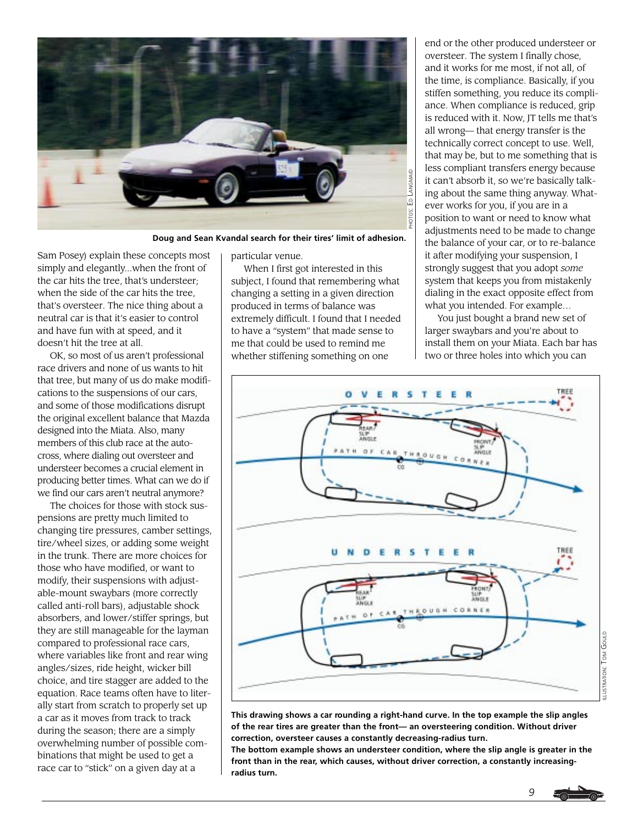

**Doug and Sean Kvandal search for their tires' limit of adhesion.**

Sam Posey) explain these concepts most simply and elegantly...when the front of the car hits the tree, that's understeer; when the side of the car hits the tree, that's oversteer. The nice thing about a neutral car is that it's easier to control and have fun with at speed, and it doesn't hit the tree at all.

OK, so most of us aren't professional race drivers and none of us wants to hit that tree, but many of us do make modifications to the suspensions of our cars, and some of those modifications disrupt the original excellent balance that Mazda designed into the Miata. Also, many members of this club race at the autocross, where dialing out oversteer and understeer becomes a crucial element in producing better times. What can we do if we find our cars aren't neutral anymore?

The choices for those with stock suspensions are pretty much limited to changing tire pressures, camber settings, tire/wheel sizes, or adding some weight in the trunk. There are more choices for those who have modified, or want to modify, their suspensions with adjustable-mount swaybars (more correctly called anti-roll bars), adjustable shock absorbers, and lower/stiffer springs, but they are still manageable for the layman compared to professional race cars, where variables like front and rear wing angles/sizes, ride height, wicker bill choice, and tire stagger are added to the equation. Race teams often have to literally start from scratch to properly set up a car as it moves from track to track during the season; there are a simply overwhelming number of possible combinations that might be used to get a race car to "stick" on a given day at a

particular venue.

When I first got interested in this subject, I found that remembering what changing a setting in a given direction produced in terms of balance was extremely difficult. I found that I needed to have a "system" that made sense to me that could be used to remind me whether stiffening something on one

end or the other produced understeer or oversteer. The system I finally chose, and it works for me most, if not all, of the time, is compliance. Basically, if you stiffen something, you reduce its compliance. When compliance is reduced, grip is reduced with it. Now, JT tells me that's all wrong— that energy transfer is the technically correct concept to use. Well, that may be, but to me something that is less compliant transfers energy because it can't absorb it, so we're basically talking about the same thing anyway. Whatever works for you, if you are in a position to want or need to know what adjustments need to be made to change the balance of your car, or to re-balance it after modifying your suspension, I strongly suggest that you adopt *some* system that keeps you from mistakenly dialing in the exact opposite effect from what you intended. For example…

You just bought a brand new set of larger swaybars and you're about to install them on your Miata. Each bar has two or three holes into which you can



**This drawing shows a car rounding a right-hand curve. In the top example the slip angles of the rear tires are greater than the front— an oversteering condition. Without driver correction, oversteer causes a constantly decreasing-radius turn.**

**The bottom example shows an understeer condition, where the slip angle is greater in the front than in the rear, which causes, without driver correction, a constantly increasing-**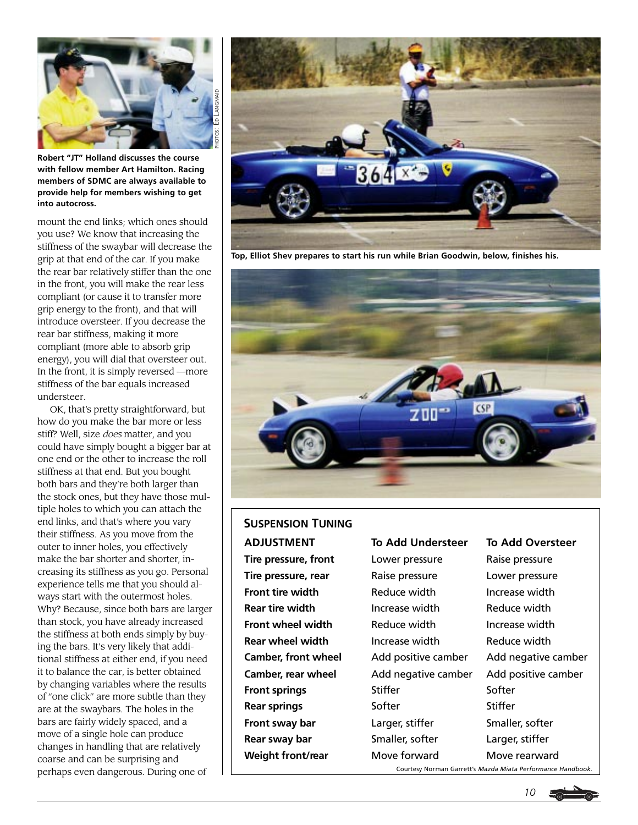

**Robert "JT" Holland discusses the course with fellow member Art Hamilton. Racing members of SDMC are always available to provide help for members wishing to get into autocross.**

mount the end links; which ones should you use? We know that increasing the stiffness of the swaybar will decrease the grip at that end of the car. If you make the rear bar relatively stiffer than the one in the front, you will make the rear less compliant (or cause it to transfer more grip energy to the front), and that will introduce oversteer. If you decrease the rear bar stiffness, making it more compliant (more able to absorb grip energy), you will dial that oversteer out. In the front, it is simply reversed —more stiffness of the bar equals increased understeer.

OK, that's pretty straightforward, but how do you make the bar more or less stiff? Well, size *does* matter, and you could have simply bought a bigger bar at one end or the other to increase the roll stiffness at that end. But you bought both bars and they're both larger than the stock ones, but they have those multiple holes to which you can attach the end links, and that's where you vary their stiffness. As you move from the outer to inner holes, you effectively make the bar shorter and shorter, increasing its stiffness as you go. Personal experience tells me that you should always start with the outermost holes. Why? Because, since both bars are larger than stock, you have already increased the stiffness at both ends simply by buying the bars. It's very likely that additional stiffness at either end, if you need it to balance the car, is better obtained by changing variables where the results of "one click" are more subtle than they are at the swaybars. The holes in the bars are fairly widely spaced, and a move of a single hole can produce changes in handling that are relatively coarse and can be surprising and perhaps even dangerous. During one of  $\Box$ 



**Top, Elliot Shev prepares to start his run while Brian Goodwin, below, finishes his.**



# **ADJUSTMENT Tire pressure, front SUSPENSION TUNING**

**Tire pressure, rear Front tire width Rear tire width Front wheel width Rear wheel width Camber, front wheel Camber, rear wheel Front springs Rear springs Front sway bar Rear sway bar Weight front/rear**

#### **To Add Understeer**

Lower pressure Raise pressure Reduce width Increase width Reduce width Increase width Add positive camber Add negative camber **Stiffer** Softer Larger, stiffer Smaller, softer Move forward

#### **To Add Oversteer**

Raise pressure Lower pressure Increase width Reduce width Increase width Reduce width Add negative camber Add positive camber Softer **Stiffer** Smaller, softer Larger, stiffer Move rearward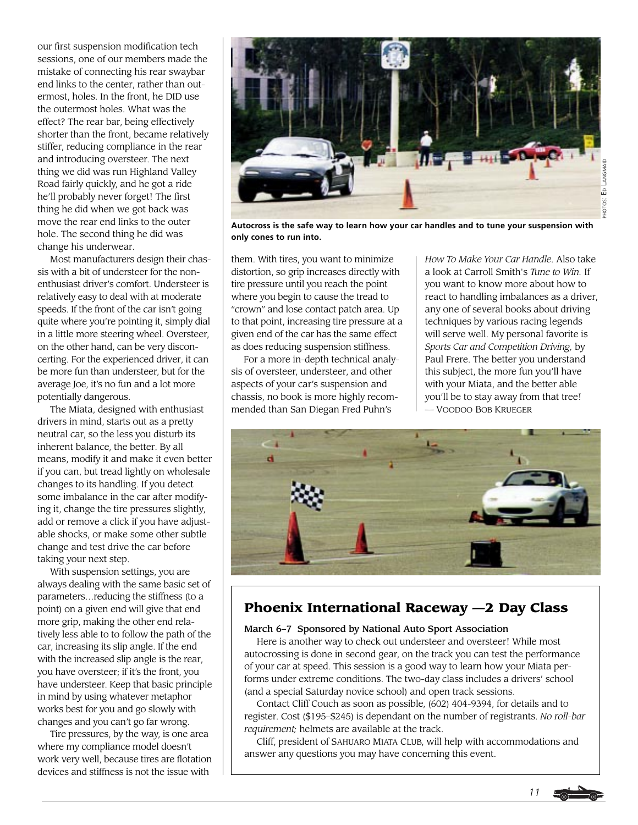our first suspension modification tech sessions, one of our members made the mistake of connecting his rear swaybar end links to the center, rather than outermost, holes. In the front, he DID use the outermost holes. What was the effect? The rear bar, being effectively shorter than the front, became relatively stiffer, reducing compliance in the rear and introducing oversteer. The next thing we did was run Highland Valley Road fairly quickly, and he got a ride he'll probably never forget! The first thing he did when we got back was move the rear end links to the outer hole. The second thing he did was change his underwear.

Most manufacturers design their chassis with a bit of understeer for the nonenthusiast driver's comfort. Understeer is relatively easy to deal with at moderate speeds. If the front of the car isn't going quite where you're pointing it, simply dial in a little more steering wheel. Oversteer, on the other hand, can be very disconcerting. For the experienced driver, it can be more fun than understeer, but for the average Joe, it's no fun and a lot more potentially dangerous.

The Miata, designed with enthusiast drivers in mind, starts out as a pretty neutral car, so the less you disturb its inherent balance, the better. By all means, modify it and make it even better if you can, but tread lightly on wholesale changes to its handling. If you detect some imbalance in the car after modifying it, change the tire pressures slightly, add or remove a click if you have adjustable shocks, or make some other subtle change and test drive the car before taking your next step.

With suspension settings, you are always dealing with the same basic set of parameters…reducing the stiffness (to a point) on a given end will give that end more grip, making the other end relatively less able to to follow the path of the car, increasing its slip angle. If the end with the increased slip angle is the rear, you have oversteer; if it's the front, you have understeer. Keep that basic principle in mind by using whatever metaphor works best for you and go slowly with changes and you can't go far wrong.

Tire pressures, by the way, is one area where my compliance model doesn't work very well, because tires are flotation devices and stiffness is not the issue with



**Autocross is the safe way to learn how your car handles and to tune your suspension with only cones to run into.**

them. With tires, you want to minimize distortion, so grip increases directly with tire pressure until you reach the point where you begin to cause the tread to "crown" and lose contact patch area. Up to that point, increasing tire pressure at a given end of the car has the same effect as does reducing suspension stiffness.

For a more in-depth technical analysis of oversteer, understeer, and other aspects of your car's suspension and chassis, no book is more highly recommended than San Diegan Fred Puhn's

*How To Make Your Car Handle*. Also take a look at Carroll Smith's *Tune to Win.* If you want to know more about how to react to handling imbalances as a driver, any one of several books about driving techniques by various racing legends will serve well. My personal favorite is *Sports Car and Competition Driving,* by Paul Frere. The better you understand this subject, the more fun you'll have with your Miata, and the better able you'll be to stay away from that tree! — VOODOO BOB KRUEGER

*11*



# **Phoenix International Raceway —2 Day Class**

#### March 6–7 Sponsored by National Auto Sport Association

Here is another way to check out understeer and oversteer! While most autocrossing is done in second gear, on the track you can test the performance of your car at speed. This session is a good way to learn how your Miata performs under extreme conditions. The two-day class includes a drivers' school (and a special Saturday novice school) and open track sessions.

Contact Cliff Couch as soon as possible, (602) 404-9394, for details and to register. Cost (\$195–\$245) is dependant on the number of registrants. *No roll-bar requirement;* helmets are available at the track.

Cliff, president of SAHUARO MIATA CLUB, will help with accommodations and answer any questions you may have concerning this event.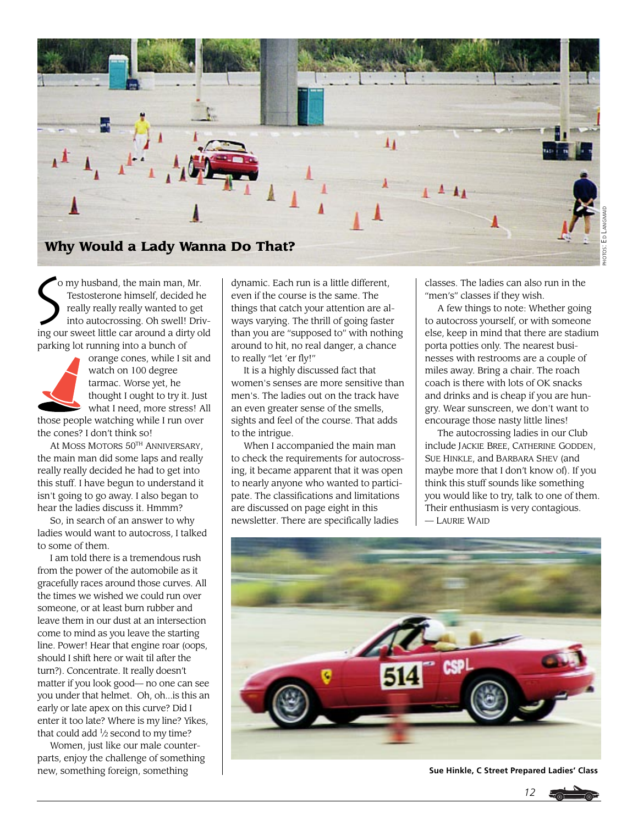

 Testosterone himself, decided he really really really wanted to get into autocrossing. Oh swell! Driving our sweet little car around a dirty old parking lot running into a bunch of

o my husband, the main man, Mr.



orange cones, while I sit and watch on 100 degree tarmac. Worse yet, he thought I ought to try it. Just what I need, more stress! All

those people watching while I run over the cones? I don't think so!

At MOSS MOTORS 50TH ANNIVERSARY, the main man did some laps and really really really decided he had to get into this stuff. I have begun to understand it isn't going to go away. I also began to hear the ladies discuss it. Hmmm?

So, in search of an answer to why ladies would want to autocross, I talked to some of them.

I am told there is a tremendous rush from the power of the automobile as it gracefully races around those curves. All the times we wished we could run over someone, or at least burn rubber and leave them in our dust at an intersection come to mind as you leave the starting line. Power! Hear that engine roar (oops, should I shift here or wait til after the turn?). Concentrate. It really doesn't matter if you look good— no one can see you under that helmet. Oh, oh...is this an early or late apex on this curve? Did I enter it too late? Where is my line? Yikes, that could add <sup>1</sup>/2 second to my time?

Women, just like our male counterparts, enjoy the challenge of something new, something foreign, something

O my husband, the main man, Mr.<br>
Testosterone himself, decided he<br>
really really really wanted to get<br>
into autocrossing. Oh swell! Driv-<br>
The thrill of going faste even if the course is the same. The things that catch your attention are always varying. The thrill of going faster than you are "supposed to" with nothing around to hit, no real danger, a chance to really "let 'er fly!"

It is a highly discussed fact that women's senses are more sensitive than men's. The ladies out on the track have an even greater sense of the smells, sights and feel of the course. That adds to the intrigue.

When I accompanied the main man to check the requirements for autocrossing, it became apparent that it was open to nearly anyone who wanted to participate. The classifications and limitations are discussed on page eight in this newsletter. There are specifically ladies

classes. The ladies can also run in the "men's" classes if they wish.

A few things to note: Whether going to autocross yourself, or with someone else, keep in mind that there are stadium porta potties only. The nearest businesses with restrooms are a couple of miles away. Bring a chair. The roach coach is there with lots of OK snacks and drinks and is cheap if you are hungry. Wear sunscreen, we don't want to encourage those nasty little lines!

The autocrossing ladies in our Club include JACKIE BREE, CATHERINE GODDEN, SUE HINKLE, and BARBARA SHEV (and maybe more that I don't know of). If you think this stuff sounds like something you would like to try, talk to one of them. Their enthusiasm is very contagious. — LAURIE WAID



**Sue Hinkle, C Street Prepared Ladies' Class**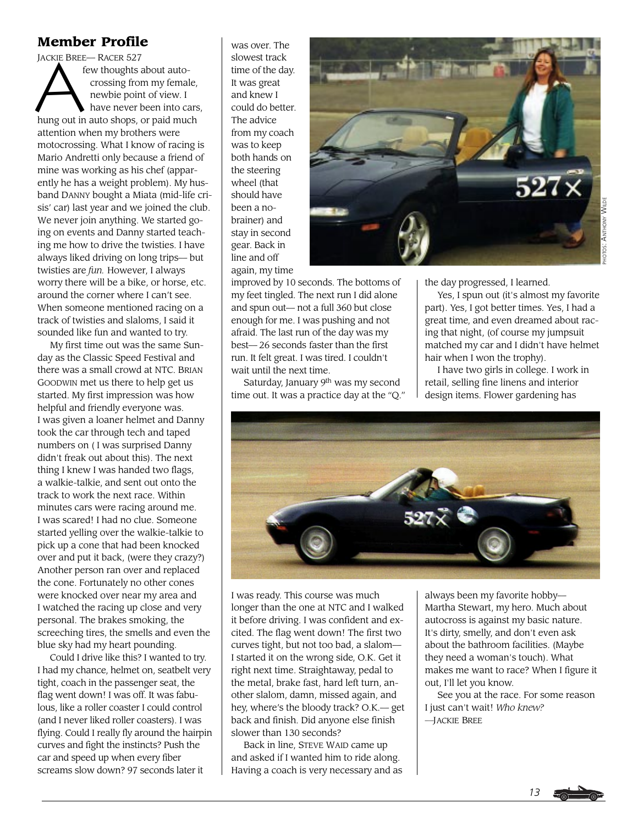## **Member Profile**

JACKIE BREE JACKIE BREE— RACER 527 few thoughts about auto crossing from my female, newbie point of view. I have never been into cars, hung out in auto shops, or paid much attention when my brothers were motocrossing. What I know of racing is Mario Andretti only because a friend of mine was working as his chef (apparently he has a weight problem). My husband DANNY bought a Miata (mid-life crisis' car) last year and we joined the club. We never join anything. We started going on events and Danny started teaching me how to drive the twisties. I have always liked driving on long trips— but twisties are *fun.* However, I always worry there will be a bike, or horse, etc. around the corner where I can't see. When someone mentioned racing on a track of twisties and slaloms, I said it sounded like fun and wanted to try.

My first time out was the same Sunday as the Classic Speed Festival and there was a small crowd at NTC. BRIAN GOODWIN met us there to help get us started. My first impression was how helpful and friendly everyone was. I was given a loaner helmet and Danny took the car through tech and taped numbers on ( I was surprised Danny didn't freak out about this). The next thing I knew I was handed two flags, a walkie-talkie, and sent out onto the track to work the next race. Within minutes cars were racing around me. I was scared! I had no clue. Someone started yelling over the walkie-talkie to pick up a cone that had been knocked over and put it back, (were they crazy?) Another person ran over and replaced the cone. Fortunately no other cones were knocked over near my area and I watched the racing up close and very personal. The brakes smoking, the screeching tires, the smells and even the blue sky had my heart pounding.

Could I drive like this? I wanted to try. I had my chance, helmet on, seatbelt very tight, coach in the passenger seat, the flag went down! I was off. It was fabulous, like a roller coaster I could control (and I never liked roller coasters). I was flying. Could I really fly around the hairpin curves and fight the instincts? Push the car and speed up when every fiber screams slow down? 97 seconds later it

was over. The slowest track time of the day. It was great and knew I could do better. The advice from my coach was to keep both hands on the steering wheel (that should have been a nobrainer) and stay in second gear. Back in line and off again, my time



improved by 10 seconds. The bottoms of my feet tingled. The next run I did alone and spun out— not a full 360 but close enough for me. I was pushing and not afraid. The last run of the day was my best— 26 seconds faster than the first run. It felt great. I was tired. I couldn't wait until the next time.

Saturday, January 9<sup>th</sup> was my second time out. It was a practice day at the "Q." the day progressed, I learned.

Yes, I spun out (it's almost my favorite part). Yes, I got better times. Yes, I had a great time, and even dreamed about racing that night, (of course my jumpsuit matched my car and I didn't have helmet hair when I won the trophy).

I have two girls in college. I work in retail, selling fine linens and interior design items. Flower gardening has



I was ready. This course was much longer than the one at NTC and I walked it before driving. I was confident and excited. The flag went down! The first two curves tight, but not too bad, a slalom— I started it on the wrong side, O.K. Get it right next time. Straightaway, pedal to the metal, brake fast, hard left turn, another slalom, damn, missed again, and hey, where's the bloody track? O.K.— get back and finish. Did anyone else finish slower than 130 seconds?

Back in line, STEVE WAID came up and asked if I wanted him to ride along. Having a coach is very necessary and as always been my favorite hobby— Martha Stewart, my hero. Much about autocross is against my basic nature. It's dirty, smelly, and don't even ask about the bathroom facilities. (Maybe they need a woman's touch). What makes me want to race? When I figure it out, I'll let you know.

See you at the race. For some reason I just can't wait! *Who knew? —*JACKIE BREE

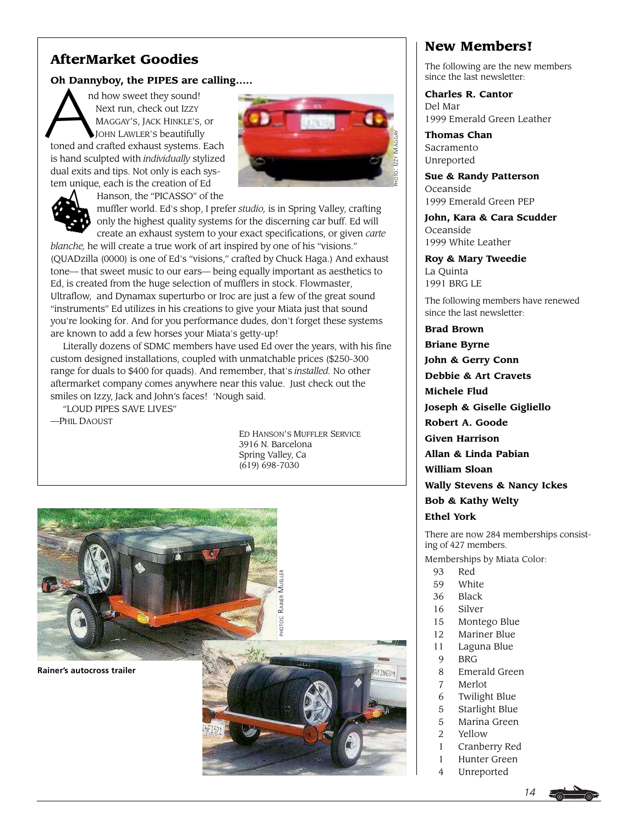# **AfterMarket Goodies**

**Oh Dannyboy, the PIPES are calling.....**<br>
nd how sweet they sound!<br>
Next run, check out Izzy<br>
MAGGAY'S, JACK HINKLE'S, or<br>
JOHN LAWLER'S beautifully nd how sweet they sound! Next run, check out IZZY MAGGAY'S, JACK HINKLE'S, or JOHN LAWLER'S beautifully toned and crafted exhaust systems. Each is hand sculpted with *individually* stylized dual exits and tips. Not only is each system unique, each is the creation of Ed



Hanson, the "PICASSO" of the

muffler world. Ed's shop, I prefer *studio,* is in Spring Valley, crafting only the highest quality systems for the discerning car buff. Ed will create an exhaust system to your exact specifications, or given *carte blanche,* he will create a true work of art inspired by one of his "visions." (QUADzilla (0000) is one of Ed's "visions," crafted by Chuck Haga.) And exhaust tone— that sweet music to our ears— being equally important as aesthetics to Ed, is created from the huge selection of mufflers in stock. Flowmaster, Ultraflow, and Dynamax superturbo or Iroc are just a few of the great sound "instruments" Ed utilizes in his creations to give your Miata just that sound you're looking for. And for you performance dudes, don't forget these systems are known to add a few horses your Miata's getty-up!

Literally dozens of SDMC members have used Ed over the years, with his fine custom designed installations, coupled with unmatchable prices (\$250-300 range for duals to \$400 for quads). And remember, that's *installed.* No other aftermarket company comes anywhere near this value. Just check out the smiles on Izzy, Jack and John's faces! 'Nough said.

"LOUD PIPES SAVE LIVES"

—PHIL DAOUST

ED HANSON'S MUFFLER SERVICE 3916 N. Barcelona Spring Valley, Ca (619) 698-7030



# **New Members!**

The following are the new members since the last newsletter:

**Charles R. Cantor** Del Mar 1999 Emerald Green Leather

**Thomas Chan** Sacramento Unreported

**Sue & Randy Patterson** Oceanside 1999 Emerald Green PEP

**John, Kara & Cara Scudder** Oceanside 1999 White Leather

**Roy & Mary Tweedie** La Quinta 1991 BRG LE

The following members have renewed since the last newsletter:

**Brad Brown Briane Byrne John & Gerry Conn Debbie & Art Cravets Michele Flud Joseph & Giselle Gigliello**

**Robert A. Goode Given Harrison**

**Allan & Linda Pabian**

**William Sloan**

**Wally Stevens & Nancy Ickes**

**Bob & Kathy Welty**

**Ethel York**

There are now 284 memberships consisting of 427 members.

Memberships by Miata Color:

- 93 Red
- 59 White
- 36 Black
- 16 Silver
- 15 Montego Blue
- 12 Mariner Blue
- 11 Laguna Blue
- 9 BRG
- 8 Emerald Green
- 7 Merlot
- 6 Twilight Blue
- 5 Starlight Blue
- 5 Marina Green
- 2 Yellow
- 1 Cranberry Red
- 1 Hunter Green
- 4 Unreported